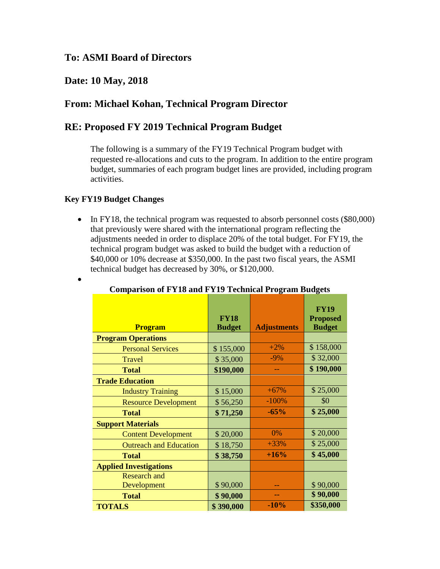## **To: ASMI Board of Directors**

## **Date: 10 May, 2018**

## **From: Michael Kohan, Technical Program Director**

### **RE: Proposed FY 2019 Technical Program Budget**

The following is a summary of the FY19 Technical Program budget with requested re-allocations and cuts to the program. In addition to the entire program budget, summaries of each program budget lines are provided, including program activities.

### **Key FY19 Budget Changes**

•

• In FY18, the technical program was requested to absorb personnel costs (\$80,000) that previously were shared with the international program reflecting the adjustments needed in order to displace 20% of the total budget. For FY19, the technical program budget was asked to build the budget with a reduction of \$40,000 or 10% decrease at \$350,000. In the past two fiscal years, the ASMI technical budget has decreased by 30%, or \$120,000.

| <b>Program</b>                | <b>FY18</b><br><b>Budget</b> | <b>Adjustments</b> | <b>FY19</b><br><b>Proposed</b><br><b>Budget</b> |
|-------------------------------|------------------------------|--------------------|-------------------------------------------------|
| <b>Program Operations</b>     |                              |                    |                                                 |
| <b>Personal Services</b>      | \$155,000                    | $+2%$              | \$158,000                                       |
| Travel                        | \$35,000                     | $-9%$              | \$32,000                                        |
| <b>Total</b>                  | \$190,000                    | --                 | \$190,000                                       |
| <b>Trade Education</b>        |                              |                    |                                                 |
| <b>Industry Training</b>      | \$15,000                     | $+67%$             | \$25,000                                        |
| <b>Resource Development</b>   | \$56,250                     | $-100%$            | \$0                                             |
| <b>Total</b>                  | \$71,250                     | $-65%$             | \$25,000                                        |
| <b>Support Materials</b>      |                              |                    |                                                 |
| <b>Content Development</b>    | \$20,000                     | 0%                 | \$20,000                                        |
| <b>Outreach and Education</b> | \$18,750                     | $+33%$             | \$25,000                                        |
| <b>Total</b>                  | \$38,750                     | $+16%$             | \$45,000                                        |
| <b>Applied Investigations</b> |                              |                    |                                                 |
| <b>Research and</b>           |                              |                    |                                                 |
| Development                   | \$90,000                     | --                 | \$90,000                                        |
| <b>Total</b>                  | \$90,000                     | --                 | \$90,000                                        |
| <b>TOTALS</b>                 | \$390,000                    | $-10%$             | \$350,000                                       |

#### **Comparison of FY18 and FY19 Technical Program Budgets**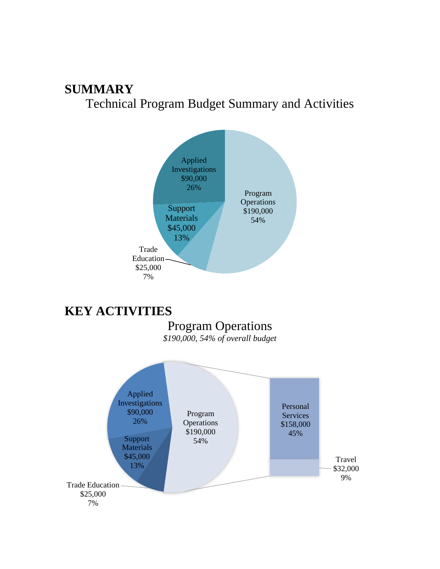# **SUMMARY** Technical Program Budget Summary and Activities



# **KEY ACTIVITIES**

# Program Operations

*\$190,000, 54% of overall budget*